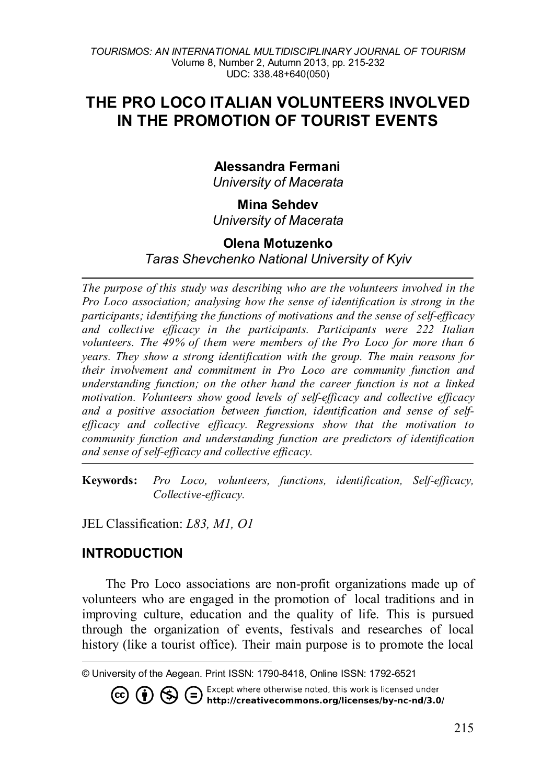# **THE PRO LOCO ITALIAN VOLUNTEERS INVOLVED IN THE PROMOTION OF TOURIST EVENTS**

# **Alessandra Fermani[1](#page-0-0)**

*University of Macerata*

# **Mina Sehdev**

*University of Macerata*

#### **Olena Motuzenko**

*Taras Shevchenko National University of Kyiv*

*The purpose of this study was describing who are the volunteers involved in the Pro Loco association; analysing how the sense of identification is strong in the participants; identifying the functions of motivations and the sense of self-efficacy and collective efficacy in the participants. Participants were 222 Italian volunteers. The 49% of them were members of the Pro Loco for more than 6 years. They show a strong identification with the group. The main reasons for their involvement and commitment in Pro Loco are community function and understanding function; on the other hand the career function is not a linked motivation. Volunteers show good levels of self-efficacy and collective efficacy and a positive association between function, identification and sense of selfefficacy and collective efficacy. Regressions show that the motivation to community function and understanding function are predictors of identification and sense of self-efficacy and collective efficacy.* 

**Keywords:** *Pro Loco, volunteers, functions, identification, Self-efficacy, Collective-efficacy.*

JEL Classification: *L83, M1, O1*

# **INTRODUCTION**

The Pro Loco associations are non-profit organizations made up of volunteers who are engaged in the promotion of local traditions and in improving culture, education and the quality of life. This is pursued through the organization of events, festivals and researches of local history (like a tourist office). Their main purpose is to promote the local

<span id="page-0-0"></span> $\overline{a}$ © University of the Aegean. Print ISSN: 1790-8418, Online ISSN: 1792-6521

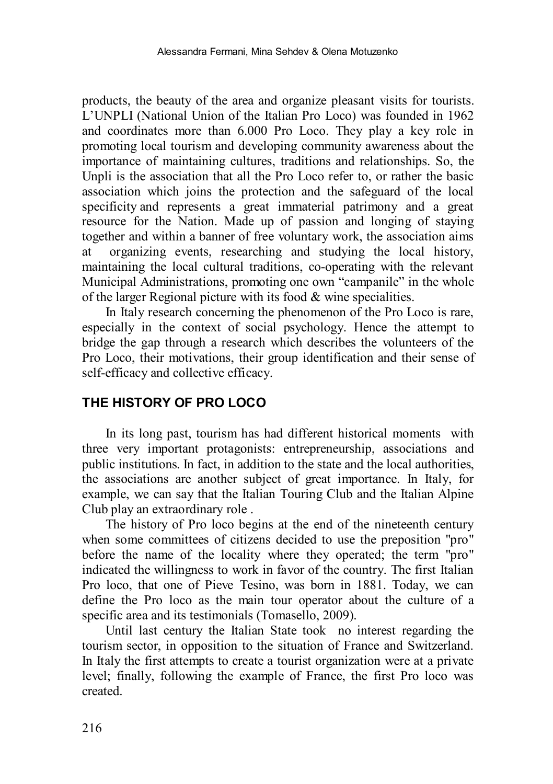products, the beauty of the area and organize pleasant visits for tourists. L'UNPLI (National Union of the Italian Pro Loco) was founded in 1962 and coordinates more than 6.000 Pro Loco. They play a key role in promoting local tourism and developing community awareness about the importance of maintaining cultures, traditions and relationships. So, the Unpli is the association that all the Pro Loco refer to, or rather the basic association which joins the protection and the safeguard of the local specificity and represents a great immaterial patrimony and a great resource for the Nation. Made up of passion and longing of staying together and within a banner of free voluntary work, the association aims at organizing events, researching and studying the local history, maintaining the local cultural traditions, co-operating with the relevant Municipal Administrations, promoting one own "campanile" in the whole of the larger Regional picture with its food & wine specialities.

In Italy research concerning the phenomenon of the Pro Loco is rare, especially in the context of social psychology. Hence the attempt to bridge the gap through a research which describes the volunteers of the Pro Loco, their motivations, their group identification and their sense of self-efficacy and collective efficacy.

# **THE HISTORY OF PRO LOCO**

In its long past, tourism has had different historical moments with three very important protagonists: entrepreneurship, associations and public institutions. In fact, in addition to the state and the local authorities, the associations are another subject of great importance. In Italy, for example, we can say that the Italian Touring Club and the Italian Alpine Club play an extraordinary role .

The history of Pro loco begins at the end of the nineteenth century when some committees of citizens decided to use the preposition "pro" before the name of the locality where they operated; the term "pro" indicated the willingness to work in favor of the country. The first Italian Pro loco, that one of Pieve Tesino, was born in 1881. Today, we can define the Pro loco as the main tour operator about the culture of a specific area and its testimonials (Tomasello, 2009).

Until last century the Italian State took no interest regarding the tourism sector, in opposition to the situation of France and Switzerland. In Italy the first attempts to create a tourist organization were at a private level; finally, following the example of France, the first Pro loco was created.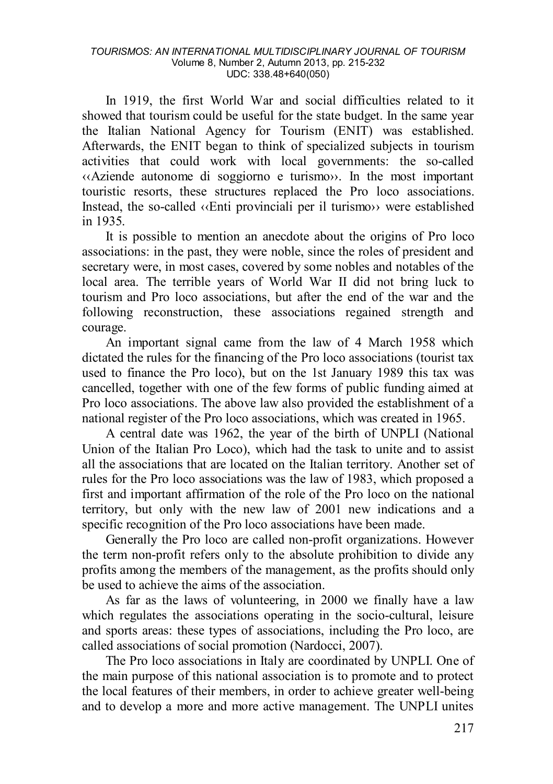In 1919, the first World War and social difficulties related to it showed that tourism could be useful for the state budget. In the same year the Italian National Agency for Tourism (ENIT) was established. Afterwards, the ENIT began to think of specialized subjects in tourism activities that could work with local governments: the so-called ‹‹Aziende autonome di soggiorno e turismo››. In the most important touristic resorts, these structures replaced the Pro loco associations. Instead, the so-called ‹‹Enti provinciali per il turismo›› were established in 1935.

It is possible to mention an anecdote about the origins of Pro loco associations: in the past, they were noble, since the roles of president and secretary were, in most cases, covered by some nobles and notables of the local area. The terrible years of World War II did not bring luck to tourism and Pro loco associations, but after the end of the war and the following reconstruction, these associations regained strength and courage.

An important signal came from the law of 4 March 1958 which dictated the rules for the financing of the Pro loco associations (tourist tax used to finance the Pro loco), but on the 1st January 1989 this tax was cancelled, together with one of the few forms of public funding aimed at Pro loco associations. The above law also provided the establishment of a national register of the Pro loco associations, which was created in 1965.

A central date was 1962, the year of the birth of UNPLI (National Union of the Italian Pro Loco), which had the task to unite and to assist all the associations that are located on the Italian territory. Another set of rules for the Pro loco associations was the law of 1983, which proposed a first and important affirmation of the role of the Pro loco on the national territory, but only with the new law of 2001 new indications and a specific recognition of the Pro loco associations have been made.

Generally the Pro loco are called non-profit organizations. However the term non-profit refers only to the absolute prohibition to divide any profits among the members of the management, as the profits should only be used to achieve the aims of the association.

As far as the laws of volunteering, in 2000 we finally have a law which regulates the associations operating in the socio-cultural, leisure and sports areas: these types of associations, including the Pro loco, are called associations of social promotion (Nardocci, 2007).

The Pro loco associations in Italy are coordinated by UNPLI. One of the main purpose of this national association is to promote and to protect the local features of their members, in order to achieve greater well-being and to develop a more and more active management. The UNPLI unites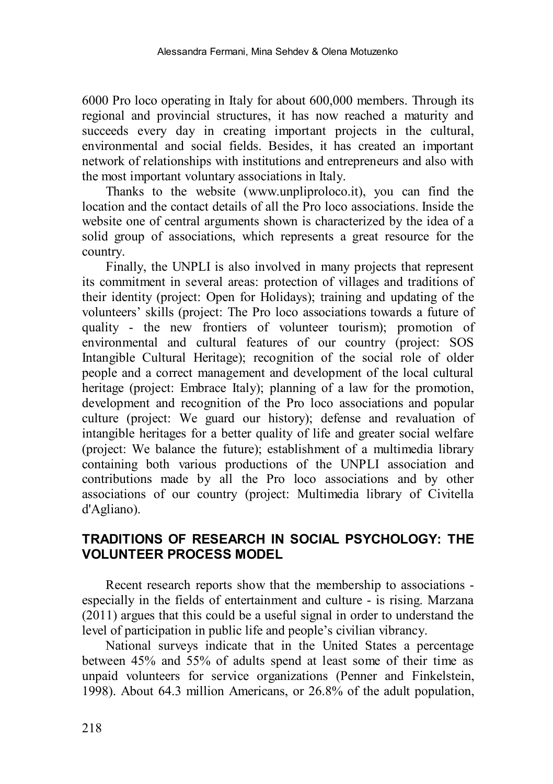6000 Pro loco operating in Italy for about 600,000 members. Through its regional and provincial structures, it has now reached a maturity and succeeds every day in creating important projects in the cultural, environmental and social fields. Besides, it has created an important network of relationships with institutions and entrepreneurs and also with the most important voluntary associations in Italy.

Thanks to the website (www.unpliproloco.it), you can find the location and the contact details of all the Pro loco associations. Inside the website one of central arguments shown is characterized by the idea of a solid group of associations, which represents a great resource for the country.

Finally, the UNPLI is also involved in many projects that represent its commitment in several areas: protection of villages and traditions of their identity (project: Open for Holidays); training and updating of the volunteers' skills (project: The Pro loco associations towards a future of quality - the new frontiers of volunteer tourism); promotion of environmental and cultural features of our country (project: SOS Intangible Cultural Heritage); recognition of the social role of older people and a correct management and development of the local cultural heritage (project: Embrace Italy); planning of a law for the promotion, development and recognition of the Pro loco associations and popular culture (project: We guard our history); defense and revaluation of intangible heritages for a better quality of life and greater social welfare (project: We balance the future); establishment of a multimedia library containing both various productions of the UNPLI association and contributions made by all the Pro loco associations and by other associations of our country (project: Multimedia library of Civitella d'Agliano).

# **TRADITIONS OF RESEARCH IN SOCIAL PSYCHOLOGY: THE VOLUNTEER PROCESS MODEL**

Recent research reports show that the membership to associations especially in the fields of entertainment and culture - is rising. Marzana (2011) argues that this could be a useful signal in order to understand the level of participation in public life and people's civilian vibrancy.

National surveys indicate that in the United States a percentage between 45% and 55% of adults spend at least some of their time as unpaid volunteers for service organizations (Penner and Finkelstein, 1998). About 64.3 million Americans, or 26.8% of the adult population,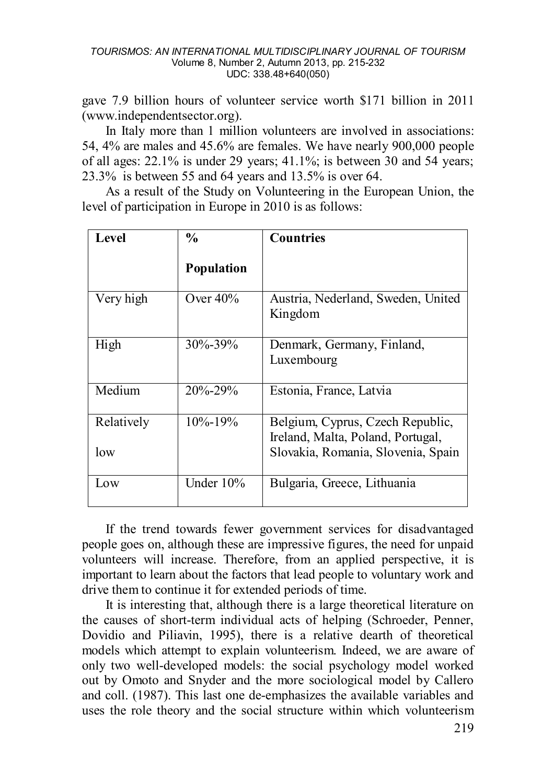#### *TOURISMOS: AN INTERNATIONAL MULTIDISCIPLINARY JOURNAL OF TOURISM* Volume 8, Number 2, Autumn 2013, pp. 215-232 UDC: 338.48+640(050)

gave 7.9 billion hours of volunteer service worth \$171 billion in 2011 (www.independentsector.org).

In Italy more than 1 million volunteers are involved in associations: 54, 4% are males and 45.6% are females. We have nearly 900,000 people of all ages: 22.1% is under 29 years; 41.1%; is between 30 and 54 years; 23.3% is between 55 and 64 years and 13.5% is over 64.

As a result of the Study on Volunteering in the European Union, the level of participation in Europe in 2010 is as follows:

| Level      | $\frac{0}{0}$ | Countries                                                             |
|------------|---------------|-----------------------------------------------------------------------|
|            | Population    |                                                                       |
| Very high  | Over $40\%$   | Austria, Nederland, Sweden, United<br>Kingdom                         |
| High       | $30\% - 39\%$ | Denmark, Germany, Finland,<br>Luxembourg                              |
| Medium     | $20\% - 29\%$ | Estonia, France, Latvia                                               |
| Relatively | $10\% - 19\%$ | Belgium, Cyprus, Czech Republic,<br>Ireland, Malta, Poland, Portugal, |
| low        |               | Slovakia, Romania, Slovenia, Spain                                    |
| Low        | Under 10%     | Bulgaria, Greece, Lithuania                                           |

If the trend towards fewer government services for disadvantaged people goes on, although these are impressive figures, the need for unpaid volunteers will increase. Therefore, from an applied perspective, it is important to learn about the factors that lead people to voluntary work and drive them to continue it for extended periods of time.

It is interesting that, although there is a large theoretical literature on the causes of short-term individual acts of helping (Schroeder, Penner, Dovidio and Piliavin, 1995), there is a relative dearth of theoretical models which attempt to explain volunteerism. Indeed, we are aware of only two well-developed models: the social psychology model worked out by Omoto and Snyder and the more sociological model by Callero and coll. (1987). This last one de-emphasizes the available variables and uses the role theory and the social structure within which volunteerism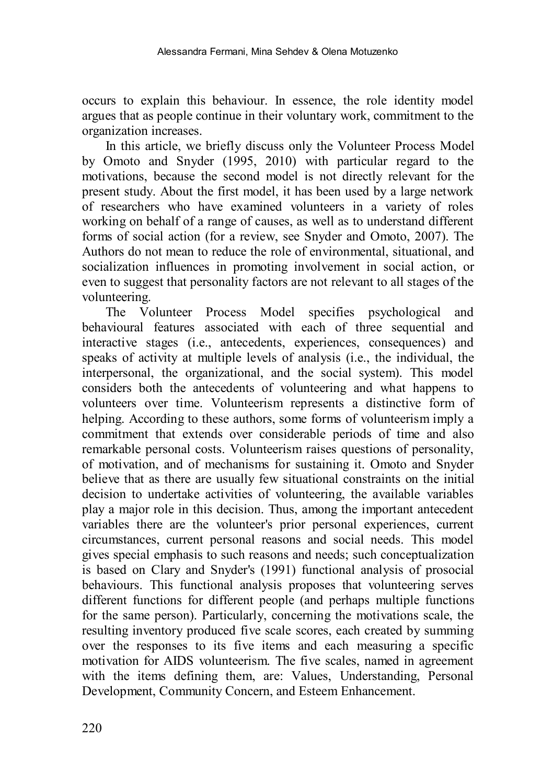occurs to explain this behaviour. In essence, the role identity model argues that as people continue in their voluntary work, commitment to the organization increases.

In this article, we briefly discuss only the Volunteer Process Model by Omoto and Snyder (1995, 2010) with particular regard to the motivations, because the second model is not directly relevant for the present study. About the first model, it has been used by a large network of researchers who have examined volunteers in a variety of roles working on behalf of a range of causes, as well as to understand different forms of social action (for a review, see Snyder and Omoto, 2007). The Authors do not mean to reduce the role of environmental, situational, and socialization influences in promoting involvement in social action, or even to suggest that personality factors are not relevant to all stages of the volunteering.

The Volunteer Process Model specifies psychological and behavioural features associated with each of three sequential and interactive stages (i.e., antecedents, experiences, consequences) and speaks of activity at multiple levels of analysis (i.e., the individual, the interpersonal, the organizational, and the social system). This model considers both the antecedents of volunteering and what happens to volunteers over time. Volunteerism represents a distinctive form of helping. According to these authors, some forms of volunteerism imply a commitment that extends over considerable periods of time and also remarkable personal costs. Volunteerism raises questions of personality, of motivation, and of mechanisms for sustaining it. Omoto and Snyder believe that as there are usually few situational constraints on the initial decision to undertake activities of volunteering, the available variables play a major role in this decision. Thus, among the important antecedent variables there are the volunteer's prior personal experiences, current circumstances, current personal reasons and social needs. This model gives special emphasis to such reasons and needs; such conceptualization is based on Clary and Snyder's (1991) functional analysis of prosocial behaviours. This functional analysis proposes that volunteering serves different functions for different people (and perhaps multiple functions for the same person). Particularly, concerning the motivations scale, the resulting inventory produced five scale scores, each created by summing over the responses to its five items and each measuring a specific motivation for AIDS volunteerism. The five scales, named in agreement with the items defining them, are: Values, Understanding, Personal Development, Community Concern, and Esteem Enhancement.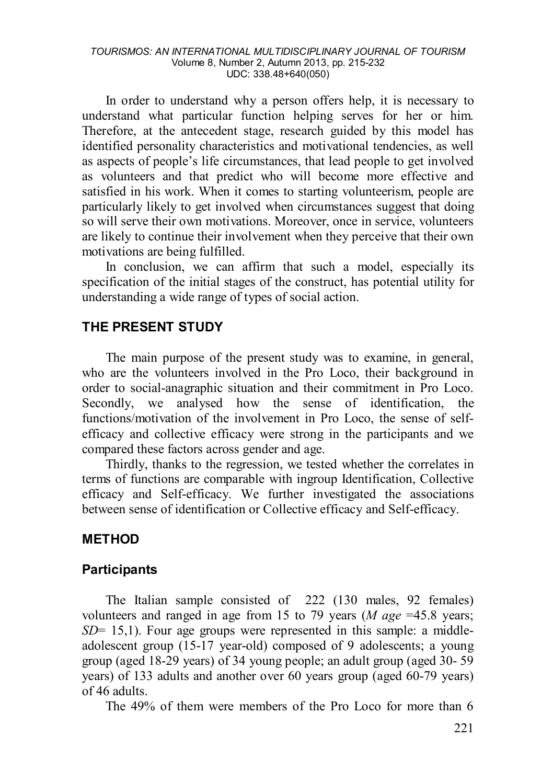#### *TOURISMOS: AN INTERNATIONAL MULTIDISCIPLINARY JOURNAL OF TOURISM* Volume 8, Number 2, Autumn 2013, pp. 215-232 UDC: 338.48+640(050)

In order to understand why a person offers help, it is necessary to understand what particular function helping serves for her or him. Therefore, at the antecedent stage, research guided by this model has identified personality characteristics and motivational tendencies, as well as aspects of people's life circumstances, that lead people to get involved as volunteers and that predict who will become more effective and satisfied in his work. When it comes to starting volunteerism, people are particularly likely to get involved when circumstances suggest that doing so will serve their own motivations. Moreover, once in service, volunteers are likely to continue their involvement when they perceive that their own motivations are being fulfilled.

In conclusion, we can affirm that such a model, especially its specification of the initial stages of the construct, has potential utility for understanding a wide range of types of social action.

# **THE PRESENT STUDY**

The main purpose of the present study was to examine, in general, who are the volunteers involved in the Pro Loco, their background in order to social-anagraphic situation and their commitment in Pro Loco. Secondly, we analysed how the sense of identification, the functions/motivation of the involvement in Pro Loco, the sense of selfefficacy and collective efficacy were strong in the participants and we compared these factors across gender and age.

Thirdly, thanks to the regression, we tested whether the correlates in terms of functions are comparable with ingroup Identification, Collective efficacy and Self-efficacy. We further investigated the associations between sense of identification or Collective efficacy and Self-efficacy.

# **METHOD**

#### **Participants**

The Italian sample consisted of 222 (130 males, 92 females) volunteers and ranged in age from 15 to 79 years (*M age* =45.8 years; *SD*= 15,1). Four age groups were represented in this sample: a middleadolescent group (15-17 year-old) composed of 9 adolescents; a young group (aged 18-29 years) of 34 young people; an adult group (aged 30- 59 years) of 133 adults and another over 60 years group (aged 60-79 years) of 46 adults.

The 49% of them were members of the Pro Loco for more than 6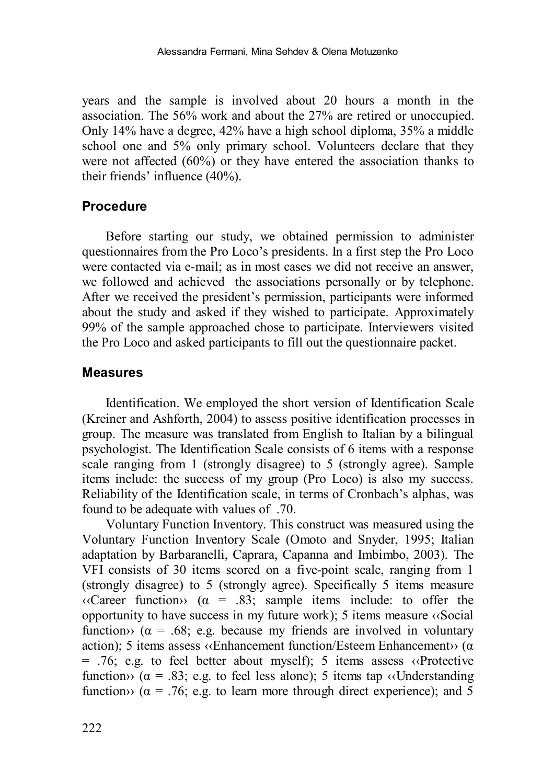years and the sample is involved about 20 hours a month in the association. The 56% work and about the 27% are retired or unoccupied. Only 14% have a degree, 42% have a high school diploma, 35% a middle school one and 5% only primary school. Volunteers declare that they were not affected (60%) or they have entered the association thanks to their friends' influence (40%).

#### **Procedure**

Before starting our study, we obtained permission to administer questionnaires from the Pro Loco's presidents. In a first step the Pro Loco were contacted via e-mail; as in most cases we did not receive an answer, we followed and achieved the associations personally or by telephone. After we received the president's permission, participants were informed about the study and asked if they wished to participate. Approximately 99% of the sample approached chose to participate. Interviewers visited the Pro Loco and asked participants to fill out the questionnaire packet.

#### **Measures**

Identification. We employed the short version of Identification Scale (Kreiner and Ashforth, 2004) to assess positive identification processes in group. The measure was translated from English to Italian by a bilingual psychologist. The Identification Scale consists of 6 items with a response scale ranging from 1 (strongly disagree) to 5 (strongly agree). Sample items include: the success of my group (Pro Loco) is also my success. Reliability of the Identification scale, in terms of Cronbach's alphas, was found to be adequate with values of .70.

Voluntary Function Inventory. This construct was measured using the Voluntary Function Inventory Scale (Omoto and Snyder, 1995; Italian adaptation by Barbaranelli, Caprara, Capanna and Imbimbo, 2003). The VFI consists of 30 items scored on a five-point scale, ranging from 1 (strongly disagree) to 5 (strongly agree). Specifically 5 items measure  $\langle \langle \text{Career function} \rangle \rangle$  ( $\alpha = .83$ ; sample items include: to offer the opportunity to have success in my future work); 5 items measure ‹‹Social function» ( $\alpha = .68$ ; e.g. because my friends are involved in voluntary action); 5 items assess  $\langle\langle$ Enhancement function/Esteem Enhancement $\rangle\rangle$  ( $\alpha$ )  $=$  .76; e.g. to feel better about myself); 5 items assess  $\triangleleft$  Protective function» ( $\alpha$  = .83; e.g. to feel less alone); 5 items tap ‹‹Understanding function» ( $\alpha$  = .76; e.g. to learn more through direct experience); and 5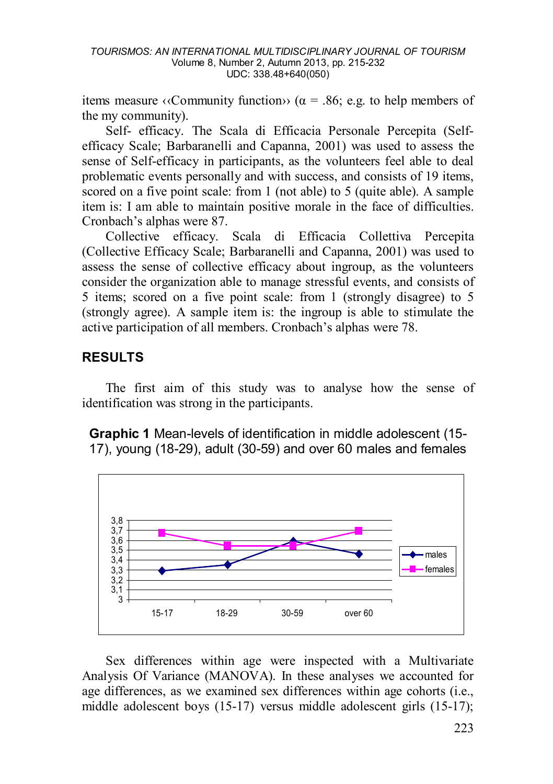items measure  $\langle$  Community function $\rangle$  ( $\alpha$  = .86; e.g. to help members of the my community).

Self- efficacy. The Scala di Efficacia Personale Percepita (Selfefficacy Scale; Barbaranelli and Capanna, 2001) was used to assess the sense of Self-efficacy in participants, as the volunteers feel able to deal problematic events personally and with success, and consists of 19 items, scored on a five point scale: from 1 (not able) to 5 (quite able). A sample item is: I am able to maintain positive morale in the face of difficulties. Cronbach's alphas were 87.

Collective efficacy. Scala di Efficacia Collettiva Percepita (Collective Efficacy Scale; Barbaranelli and Capanna, 2001) was used to assess the sense of collective efficacy about ingroup, as the volunteers consider the organization able to manage stressful events, and consists of 5 items; scored on a five point scale: from 1 (strongly disagree) to 5 (strongly agree). A sample item is: the ingroup is able to stimulate the active participation of all members. Cronbach's alphas were 78.

# **RESULTS**

The first aim of this study was to analyse how the sense of identification was strong in the participants.

**Graphic 1** Mean-levels of identification in middle adolescent (15- 17), young (18-29), adult (30-59) and over 60 males and females



Sex differences within age were inspected with a Multivariate Analysis Of Variance (MANOVA). In these analyses we accounted for age differences, as we examined sex differences within age cohorts (i.e., middle adolescent boys (15-17) versus middle adolescent girls (15-17);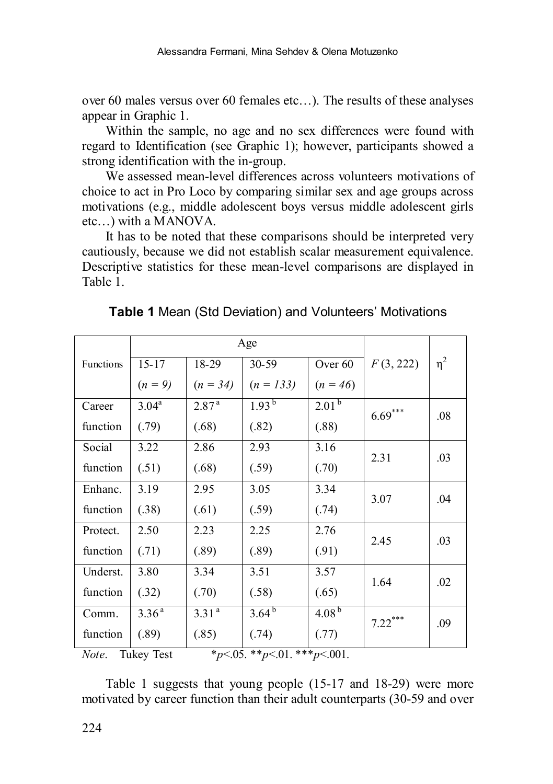over 60 males versus over 60 females etc…). The results of these analyses appear in Graphic 1.

Within the sample, no age and no sex differences were found with regard to Identification (see Graphic 1); however, participants showed a strong identification with the in-group.

We assessed mean-level differences across volunteers motivations of choice to act in Pro Loco by comparing similar sex and age groups across motivations (e.g., middle adolescent boys versus middle adolescent girls etc…) with a MANOVA.

It has to be noted that these comparisons should be interpreted very cautiously, because we did not establish scalar measurement equivalence. Descriptive statistics for these mean-level comparisons are displayed in Table 1.

|                                                           | Age               |                   |                   |            |           |          |
|-----------------------------------------------------------|-------------------|-------------------|-------------------|------------|-----------|----------|
| Functions                                                 | $15 - 17$         | 18-29             | 30-59             | Over 60    | F(3, 222) | $\eta^2$ |
|                                                           | $(n = 9)$         | $(n = 34)$        | $(n = 133)$       | $(n = 46)$ |           |          |
| Career                                                    | $3.04^a$          | 2.87 <sup>a</sup> | 1.93 <sup>b</sup> | $2.01^{b}$ | $6.69***$ | .08      |
| function                                                  | (.79)             | (.68)             | (.82)             | (.88)      |           |          |
| Social                                                    | 3.22              | 2.86              | 2.93              | 3.16       | 2.31      | .03      |
| function                                                  | (.51)             | (.68)             | (.59)             | (.70)      |           |          |
| Enhanc.                                                   | 3.19              | 2.95              | 3.05              | 3.34       | 3.07      | .04      |
| function                                                  | (.38)             | (.61)             | (.59)             | (.74)      |           |          |
| Protect.                                                  | 2.50              | 2.23              | 2.25              | 2.76       | 2.45      | .03      |
| function                                                  | (.71)             | (.89)             | (.89)             | (.91)      |           |          |
| Underst.                                                  | 3.80              | 3.34              | 3.51              | 3.57       | 1.64      | .02      |
| function                                                  | (.32)             | (.70)             | (.58)             | (.65)      |           |          |
| Comm.                                                     | 3.36 <sup>a</sup> | 3.31 <sup>a</sup> | $3.64^{b}$        | $4.08^{b}$ | $7.22***$ | .09      |
| function                                                  | (.89)             | (.85)             | (.74)             | (.77)      |           |          |
| *p<.05. **p<.01. ***p<.001.<br><b>Tukey Test</b><br>Note. |                   |                   |                   |            |           |          |

**Table 1** Mean (Std Deviation) and Volunteers' Motivations

Table 1 suggests that young people (15-17 and 18-29) were more motivated by career function than their adult counterparts (30-59 and over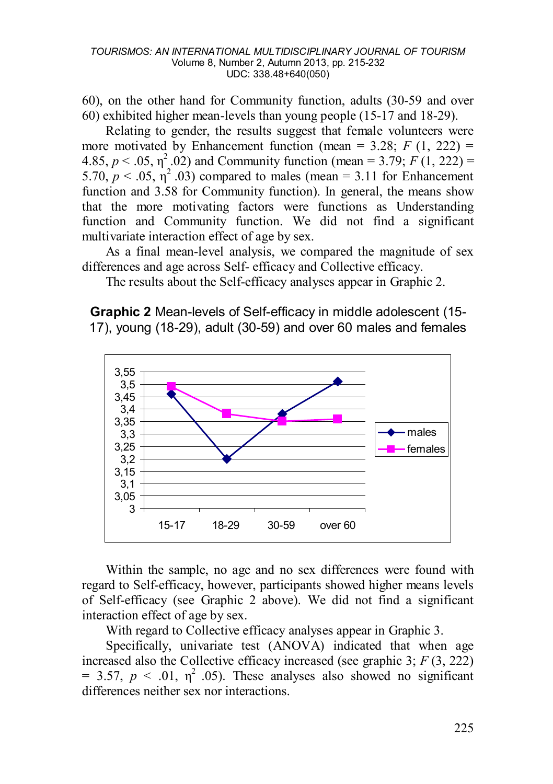60), on the other hand for Community function, adults (30-59 and over 60) exhibited higher mean-levels than young people (15-17 and 18-29).

Relating to gender, the results suggest that female volunteers were more motivated by Enhancement function (mean  $=$  3.28;  $F(1, 222) =$ 4.85,  $p < .05$ ,  $\eta^2$  .02) and Community function (mean = 3.79; *F* (1, 222) = 5.70,  $p < .05$ ,  $n^2 .03$ ) compared to males (mean = 3.11 for Enhancement function and 3.58 for Community function). In general, the means show that the more motivating factors were functions as Understanding function and Community function. We did not find a significant multivariate interaction effect of age by sex.

As a final mean-level analysis, we compared the magnitude of sex differences and age across Self- efficacy and Collective efficacy.

The results about the Self-efficacy analyses appear in Graphic 2.

**Graphic 2** Mean-levels of Self-efficacy in middle adolescent (15- 17), young (18-29), adult (30-59) and over 60 males and females



Within the sample, no age and no sex differences were found with regard to Self-efficacy, however, participants showed higher means levels of Self-efficacy (see Graphic 2 above). We did not find a significant interaction effect of age by sex.

With regard to Collective efficacy analyses appear in Graphic 3.

Specifically, univariate test (ANOVA) indicated that when age increased also the Collective efficacy increased (see graphic 3;  $F(3, 222)$ )  $= 3.57$ ,  $p < .01$ ,  $n^2$  .05). These analyses also showed no significant differences neither sex nor interactions.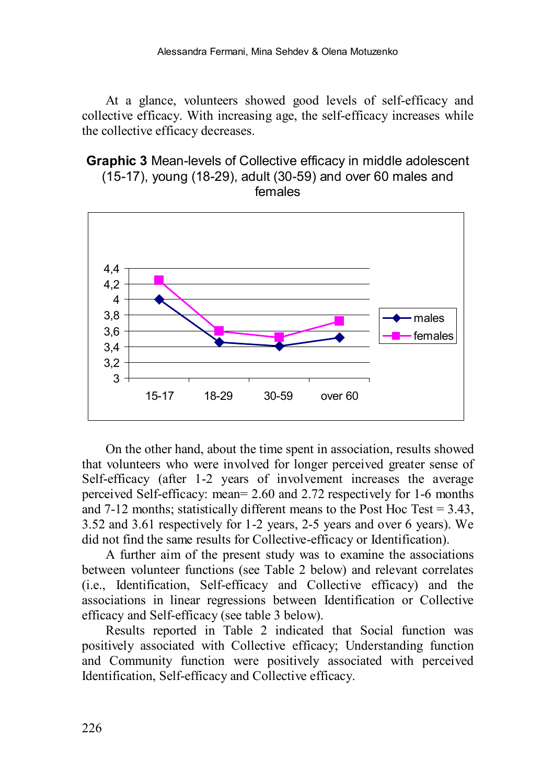At a glance, volunteers showed good levels of self-efficacy and collective efficacy. With increasing age, the self-efficacy increases while the collective efficacy decreases.

#### **Graphic 3** Mean-levels of Collective efficacy in middle adolescent (15-17), young (18-29), adult (30-59) and over 60 males and females



On the other hand, about the time spent in association, results showed that volunteers who were involved for longer perceived greater sense of Self-efficacy (after 1-2 years of involvement increases the average perceived Self-efficacy: mean= 2.60 and 2.72 respectively for 1-6 months and 7-12 months; statistically different means to the Post Hoc Test =  $3.43$ , 3.52 and 3.61 respectively for 1-2 years, 2-5 years and over 6 years). We did not find the same results for Collective-efficacy or Identification).

A further aim of the present study was to examine the associations between volunteer functions (see Table 2 below) and relevant correlates (i.e., Identification, Self-efficacy and Collective efficacy) and the associations in linear regressions between Identification or Collective efficacy and Self-efficacy (see table 3 below).

Results reported in Table 2 indicated that Social function was positively associated with Collective efficacy; Understanding function and Community function were positively associated with perceived Identification, Self-efficacy and Collective efficacy.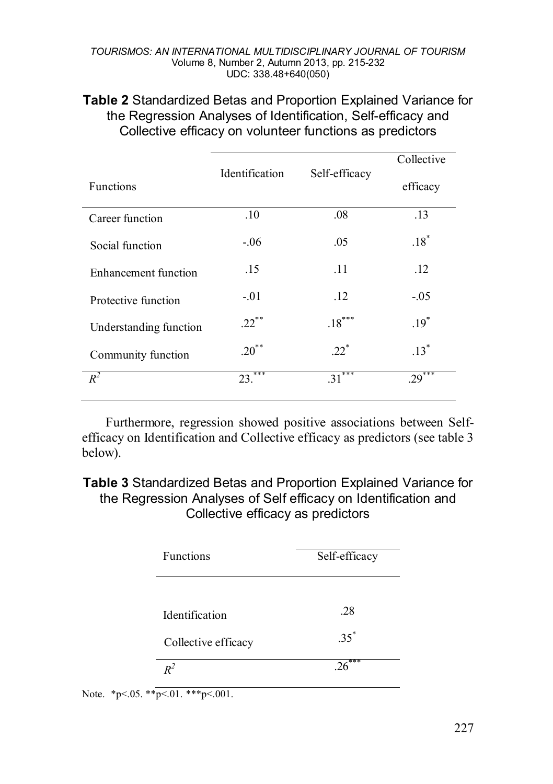#### *TOURISMOS: AN INTERNATIONAL MULTIDISCIPLINARY JOURNAL OF TOURISM* Volume 8, Number 2, Autumn 2013, pp. 215-232 UDC: 338.48+640(050)

|                        |                       |               | Collective |  |
|------------------------|-----------------------|---------------|------------|--|
|                        | <b>Identification</b> | Self-efficacy |            |  |
| <b>Functions</b>       |                       |               | efficacy   |  |
| Career function        | .10                   | .08           | .13        |  |
| Social function        | $-06$                 | .05           | $.18*$     |  |
| Enhancement function   | .15<br>.11            |               | .12        |  |
| Protective function    | $-01$                 | .12           | $-0.5$     |  |
| Understanding function | $.22***$              | $.18***$      | $.19*$     |  |
| Community function     | $.20***$              | $22^*$        | $.13*$     |  |
| $R^2$                  | $23***$               | $.31***$      | $29***$    |  |

**Table 2** Standardized Betas and Proportion Explained Variance for the Regression Analyses of Identification, Self-efficacy and Collective efficacy on volunteer functions as predictors

Furthermore, regression showed positive associations between Selfefficacy on Identification and Collective efficacy as predictors (see table 3 below).

**Table 3** Standardized Betas and Proportion Explained Variance for the Regression Analyses of Self efficacy on Identification and Collective efficacy as predictors

| <b>Functions</b>    | Self-efficacy  |  |  |
|---------------------|----------------|--|--|
|                     |                |  |  |
| Identification      | .28            |  |  |
| Collective efficacy | $35^{\degree}$ |  |  |
| $\mathbb{R}^2$      |                |  |  |

Note. \*  $p \le 0.05$ . \* \*  $p \le 0.01$ . \* \* \*  $p \le 0.001$ .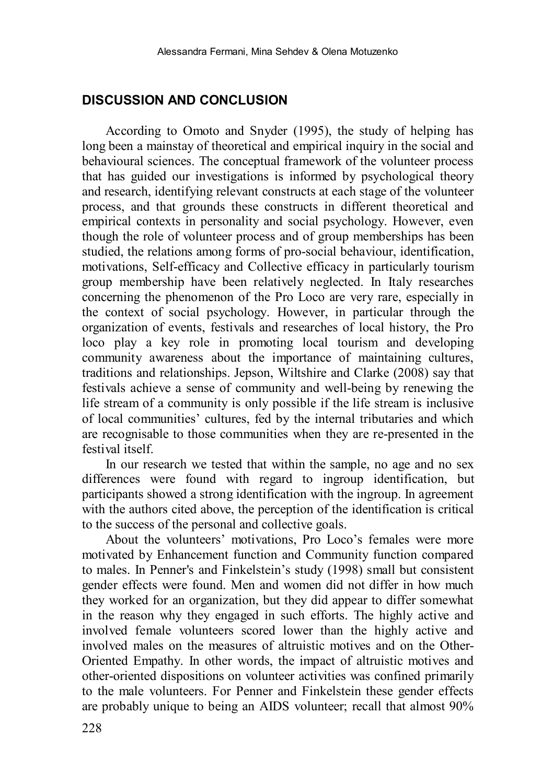#### **DISCUSSION AND CONCLUSION**

According to Omoto and Snyder (1995), the study of helping has long been a mainstay of theoretical and empirical inquiry in the social and behavioural sciences. The conceptual framework of the volunteer process that has guided our investigations is informed by psychological theory and research, identifying relevant constructs at each stage of the volunteer process, and that grounds these constructs in different theoretical and empirical contexts in personality and social psychology. However, even though the role of volunteer process and of group memberships has been studied, the relations among forms of pro-social behaviour, identification, motivations, Self-efficacy and Collective efficacy in particularly tourism group membership have been relatively neglected. In Italy researches concerning the phenomenon of the Pro Loco are very rare, especially in the context of social psychology. However, in particular through the organization of events, festivals and researches of local history, the Pro loco play a key role in promoting local tourism and developing community awareness about the importance of maintaining cultures, traditions and relationships. Jepson, Wiltshire and Clarke (2008) say that festivals achieve a sense of community and well-being by renewing the life stream of a community is only possible if the life stream is inclusive of local communities' cultures, fed by the internal tributaries and which are recognisable to those communities when they are re-presented in the festival itself.

In our research we tested that within the sample, no age and no sex differences were found with regard to ingroup identification, but participants showed a strong identification with the ingroup. In agreement with the authors cited above, the perception of the identification is critical to the success of the personal and collective goals.

About the volunteers' motivations, Pro Loco's females were more motivated by Enhancement function and Community function compared to males. In Penner's and Finkelstein's study (1998) small but consistent gender effects were found. Men and women did not differ in how much they worked for an organization, but they did appear to differ somewhat in the reason why they engaged in such efforts. The highly active and involved female volunteers scored lower than the highly active and involved males on the measures of altruistic motives and on the Other-Oriented Empathy. In other words, the impact of altruistic motives and other-oriented dispositions on volunteer activities was confined primarily to the male volunteers. For Penner and Finkelstein these gender effects are probably unique to being an AIDS volunteer; recall that almost 90%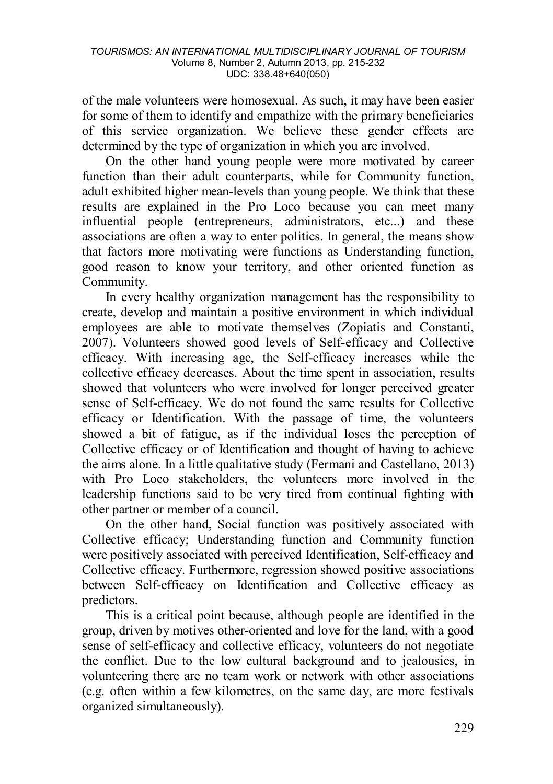of the male volunteers were homosexual. As such, it may have been easier for some of them to identify and empathize with the primary beneficiaries of this service organization. We believe these gender effects are determined by the type of organization in which you are involved.

On the other hand young people were more motivated by career function than their adult counterparts, while for Community function, adult exhibited higher mean-levels than young people. We think that these results are explained in the Pro Loco because you can meet many influential people (entrepreneurs, administrators, etc...) and these associations are often a way to enter politics. In general, the means show that factors more motivating were functions as Understanding function, good reason to know your territory, and other oriented function as Community.

In every healthy organization management has the responsibility to create, develop and maintain a positive environment in which individual employees are able to motivate themselves (Zopiatis and Constanti, 2007). Volunteers showed good levels of Self-efficacy and Collective efficacy. With increasing age, the Self-efficacy increases while the collective efficacy decreases. About the time spent in association, results showed that volunteers who were involved for longer perceived greater sense of Self-efficacy. We do not found the same results for Collective efficacy or Identification. With the passage of time, the volunteers showed a bit of fatigue, as if the individual loses the perception of Collective efficacy or of Identification and thought of having to achieve the aims alone. In a little qualitative study (Fermani and Castellano, 2013) with Pro Loco stakeholders, the volunteers more involved in the leadership functions said to be very tired from continual fighting with other partner or member of a council.

On the other hand, Social function was positively associated with Collective efficacy; Understanding function and Community function were positively associated with perceived Identification, Self-efficacy and Collective efficacy. Furthermore, regression showed positive associations between Self-efficacy on Identification and Collective efficacy as predictors.

This is a critical point because, although people are identified in the group, driven by motives other-oriented and love for the land, with a good sense of self-efficacy and collective efficacy, volunteers do not negotiate the conflict. Due to the low cultural background and to jealousies, in volunteering there are no team work or network with other associations (e.g. often within a few kilometres, on the same day, are more festivals organized simultaneously).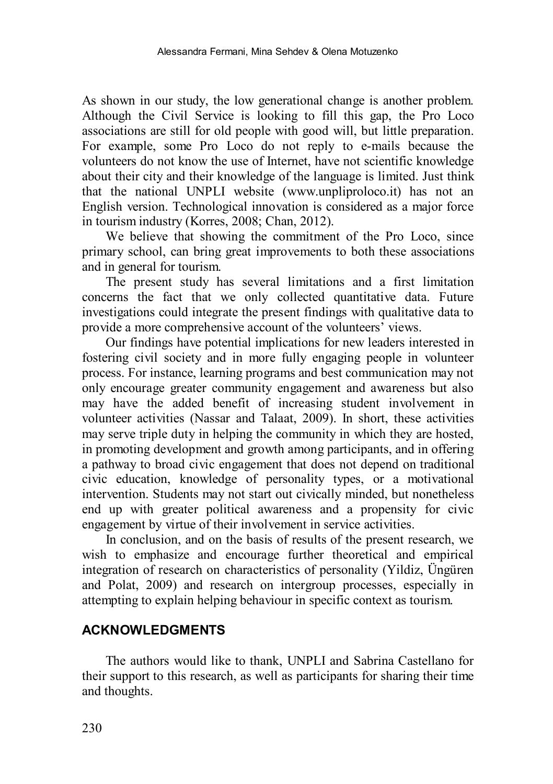As shown in our study, the low generational change is another problem. Although the Civil Service is looking to fill this gap, the Pro Loco associations are still for old people with good will, but little preparation. For example, some Pro Loco do not reply to e-mails because the volunteers do not know the use of Internet, have not scientific knowledge about their city and their knowledge of the language is limited. Just think that the national UNPLI website [\(www.unpliproloco.it\)](http://www.unpliproloco.it/) has not an English version. Technological innovation is considered as a major force in tourism industry (Korres, 2008; Chan, 2012).

We believe that showing the commitment of the Pro Loco, since primary school, can bring great improvements to both these associations and in general for tourism.

The present study has several limitations and a first limitation concerns the fact that we only collected quantitative data. Future investigations could integrate the present findings with qualitative data to provide a more comprehensive account of the volunteers' views.

Our findings have potential implications for new leaders interested in fostering civil society and in more fully engaging people in volunteer process. For instance, learning programs and best communication may not only encourage greater community engagement and awareness but also may have the added benefit of increasing student involvement in volunteer activities (Nassar and Talaat, 2009). In short, these activities may serve triple duty in helping the community in which they are hosted, in promoting development and growth among participants, and in offering a pathway to broad civic engagement that does not depend on traditional civic education, knowledge of personality types, or a motivational intervention. Students may not start out civically minded, but nonetheless end up with greater political awareness and a propensity for civic engagement by virtue of their involvement in service activities.

In conclusion, and on the basis of results of the present research, we wish to emphasize and encourage further theoretical and empirical integration of research on characteristics of personality (Yildiz, Üngüren and Polat, 2009) and research on intergroup processes, especially in attempting to explain helping behaviour in specific context as tourism.

# **ACKNOWLEDGMENTS**

The authors would like to thank, UNPLI and Sabrina Castellano for their support to this research, as well as participants for sharing their time and thoughts.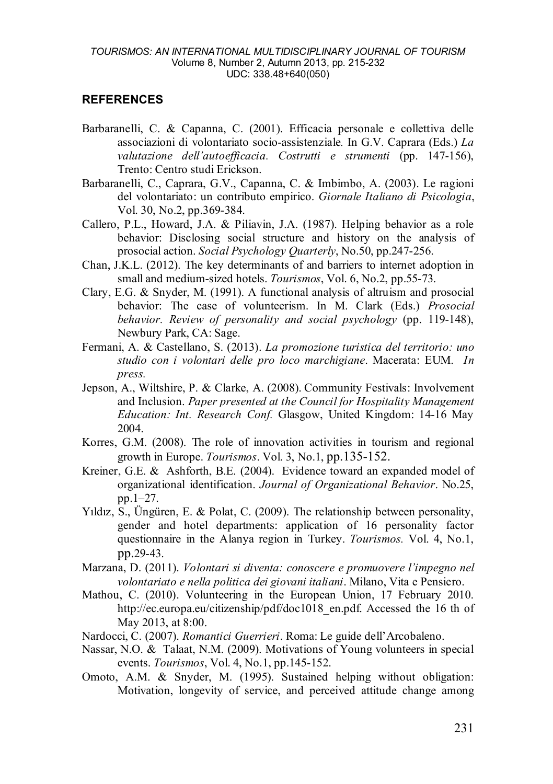#### **REFERENCES**

- Barbaranelli, C. & Capanna, C. (2001). Efficacia personale e collettiva delle associazioni di volontariato socio-assistenziale*.* In G.V. Caprara (Eds.) *La valutazione dell'autoefficacia. Costrutti e strumenti* (pp. 147-156), Trento: Centro studi Erickson.
- Barbaranelli, C., Caprara, G.V., Capanna, C. & Imbimbo, A. (2003). Le ragioni del volontariato: un contributo empirico. *Giornale Italiano di Psicologia*, Vol. 30, No.2, pp.369-384.
- Callero, P.L., Howard, J.A. & Piliavin, J.A. (1987). Helping behavior as a role behavior: Disclosing social structure and history on the analysis of prosocial action. *Social Psychology Quarterly*, No.50, pp.247-256.
- Chan, J.K.L. (2012). The key determinants of and barriers to internet adoption in small and medium-sized hotels. *Tourismos*, Vol. 6, No.2, pp.55-73.
- Clary, E.G. & Snyder, M. (1991). A functional analysis of altruism and prosocial behavior: The case of volunteerism. In M. Clark (Eds.) *Prosocial behavior. Review of personality and social psychology* (pp. 119-148), Newbury Park, CA: Sage.
- Fermani, A. & Castellano, S. (2013). *La promozione turistica del territorio: uno studio con i volontari delle pro loco marchigiane*. Macerata: EUM. *In press.*
- [Jepson, A.,](http://researchprofiles.herts.ac.uk/portal/en/persons/allan-jepson(4a287545-f57d-4dbd-9169-847a210da9ca).html) Wiltshire, P. & Clarke, A. (2008). [Community Festivals: Involvement](http://researchprofiles.herts.ac.uk/portal/en/publications/community-festivals(12519c47-998f-40eb-b5b7-b730b77857f2).html)  [and Inclusion.](http://researchprofiles.herts.ac.uk/portal/en/publications/community-festivals(12519c47-998f-40eb-b5b7-b730b77857f2).html) *Paper presented at the Council for Hospitality Management Education: Int. Research Conf.* Glasgow, United Kingdom: 14-16 May 2004.
- Korres, G.M. (2008). The role of innovation activities in tourism and regional growth in Europe. *Tourismos*. Vol. 3, No.1, pp.135-152.
- Kreiner, G.E. & Ashforth, B.E. (2004). Evidence toward an expanded model of organizational identification. *Journal of Organizational Behavior*. No.25, pp.1–27.
- Yıldız, S., Üngüren, E. & Polat, C. (2009). The relationship between personality, gender and hotel departments: application of 16 personality factor questionnaire in the Alanya region in Turkey. *Tourismos.* Vol. 4, No.1, pp.29-43.
- Marzana, D. (2011). *Volontari si diventa: conoscere e promuovere l'impegno nel volontariato e nella politica dei giovani italiani*. Milano, Vita e Pensiero.
- Mathou, C. (2010). Volunteering in the European Union, 17 February 2010. http://ec.europa.eu/citizenship/pdf/doc1018 en.pdf. Accessed the 16 th of May 2013, at 8:00.
- Nardocci, C. (2007). *Romantici Guerrieri*. Roma: Le guide dell'Arcobaleno.
- Nassar, N.O. & Talaat, N.M. (2009). Motivations of Young volunteers in special events. *Tourismos*, Vol. 4, No.1, pp.145-152.
- Omoto, A.M. & Snyder, M. (1995). Sustained helping without obligation: Motivation, longevity of service, and perceived attitude change among